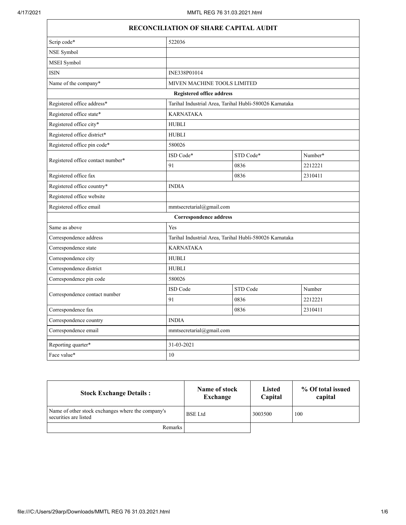$\Gamma$ 

|                                   | RECONCILIATION OF SHARE CAPITAL AUDIT |                                                         |         |  |
|-----------------------------------|---------------------------------------|---------------------------------------------------------|---------|--|
| Scrip code*                       | 522036                                |                                                         |         |  |
| NSE Symbol                        |                                       |                                                         |         |  |
| MSEI Symbol                       |                                       |                                                         |         |  |
| <b>ISIN</b>                       | INE338P01014                          |                                                         |         |  |
| Name of the company*              |                                       | MIVEN MACHINE TOOLS LIMITED                             |         |  |
|                                   | <b>Registered office address</b>      |                                                         |         |  |
| Registered office address*        |                                       | Tarihal Industrial Area, Tarihal Hubli-580026 Karnataka |         |  |
| Registered office state*          | <b>KARNATAKA</b>                      |                                                         |         |  |
| Registered office city*           | <b>HUBLI</b>                          |                                                         |         |  |
| Registered office district*       | <b>HUBLI</b>                          |                                                         |         |  |
| Registered office pin code*       | 580026                                |                                                         |         |  |
|                                   | ISD Code*                             | STD Code*                                               | Number* |  |
| Registered office contact number* | 91                                    | 0836                                                    | 2212221 |  |
| Registered office fax             |                                       | 0836                                                    | 2310411 |  |
| Registered office country*        | <b>INDIA</b>                          |                                                         |         |  |
| Registered office website         |                                       |                                                         |         |  |
| Registered office email           | mmtsecretarial@gmail.com              |                                                         |         |  |
|                                   | <b>Correspondence address</b>         |                                                         |         |  |
| Same as above                     | Yes                                   |                                                         |         |  |
| Correspondence address            |                                       | Tarihal Industrial Area, Tarihal Hubli-580026 Karnataka |         |  |
| Correspondence state              | <b>KARNATAKA</b>                      |                                                         |         |  |
| Correspondence city               | <b>HUBLI</b>                          |                                                         |         |  |
| Correspondence district           | <b>HUBLI</b>                          |                                                         |         |  |
| Correspondence pin code           | 580026                                |                                                         |         |  |
| Correspondence contact number     | ISD Code                              | STD Code                                                | Number  |  |
|                                   | 91                                    | 0836                                                    | 2212221 |  |
| Correspondence fax                |                                       | 0836                                                    | 2310411 |  |
| Correspondence country            | <b>INDIA</b>                          |                                                         |         |  |
| Correspondence email              |                                       | mmtsecretarial@gmail.com                                |         |  |
| Reporting quarter*                | 31-03-2021                            |                                                         |         |  |
| Face value*                       | 10                                    |                                                         |         |  |

| <b>Stock Exchange Details:</b>                                             | Name of stock<br>Exchange | <b>Listed</b><br>Capital | % Of total issued<br>capital |
|----------------------------------------------------------------------------|---------------------------|--------------------------|------------------------------|
| Name of other stock exchanges where the company's<br>securities are listed | <b>BSE</b> Ltd            | 3003500                  | 100                          |
| <b>Remarks</b>                                                             |                           |                          |                              |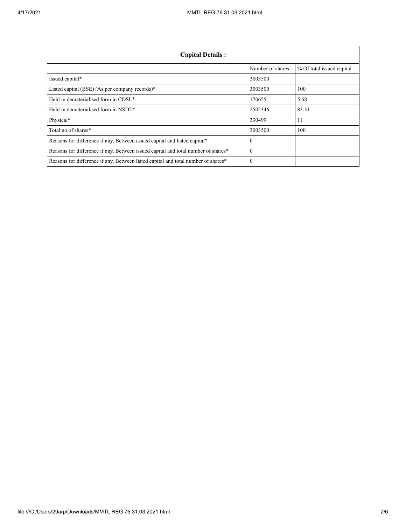| <b>Capital Details:</b>                                                           |                  |                           |
|-----------------------------------------------------------------------------------|------------------|---------------------------|
|                                                                                   | Number of shares | % Of total issued capital |
| Issued capital*                                                                   | 3003500          |                           |
| Listed capital (BSE) (As per company records)*                                    | 3003500          | 100                       |
| Held in dematerialised form in CDSL*                                              | 170655           | 5.68                      |
| Held in dematerialised form in NSDL*                                              | 2502346          | 83.31                     |
| Physical*                                                                         | 330499           | 11                        |
| Total no.of shares*                                                               | 3003500          | 100                       |
| Reasons for difference if any, Between issued capital and listed capital*         |                  |                           |
| Reasons for difference if any, Between issued capital and total number of shares* |                  |                           |
| Reasons for difference if any, Between listed capital and total number of shares* |                  |                           |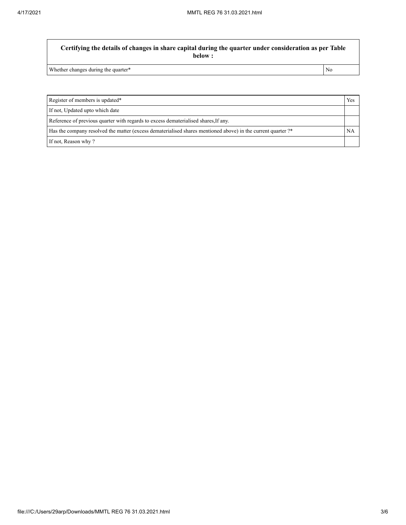**Certifying the details of changes in share capital during the quarter under consideration as per Table below :**

Whether changes during the quarter\* No

Register of members is updated\* Yes If not, Updated upto which date Reference of previous quarter with regards to excess dematerialised shares,If any. Has the company resolved the matter (excess dematerialised shares mentioned above) in the current quarter ?\* NA If not, Reason why ?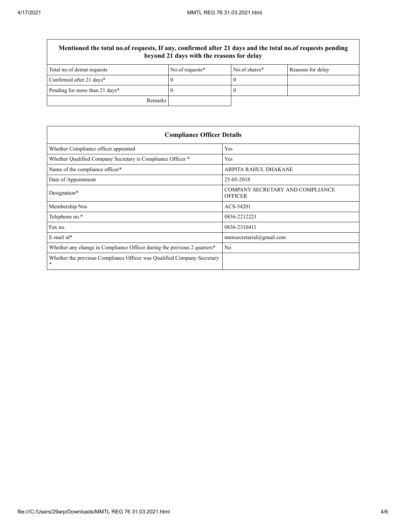$\overline{\Gamma}$ 

| Mentioned the total no.of requests, If any, confirmed after 21 days and the total no.of requests pending<br>beyond 21 days with the reasons for delay |                 |               |                   |
|-------------------------------------------------------------------------------------------------------------------------------------------------------|-----------------|---------------|-------------------|
| Total no.of demat requests                                                                                                                            | No.of requests* | No.of shares* | Reasons for delay |
| Confirmed after 21 days*                                                                                                                              |                 |               |                   |
| Pending for more than 21 days*                                                                                                                        |                 |               |                   |
| Remarks                                                                                                                                               |                 |               |                   |

| <b>Compliance Officer Details</b>                                            |                                                    |  |
|------------------------------------------------------------------------------|----------------------------------------------------|--|
| Whether Compliance officer appointed                                         | Yes                                                |  |
| Whether Qualified Company Secretary is Compliance Officer *                  | Yes                                                |  |
| Name of the compliance officer*                                              | ARPITA RAHUL DHAKANE                               |  |
| Date of Appointment                                                          | 25-05-2018                                         |  |
| Designation*                                                                 | COMPANY SECRETARY AND COMPLIANCE<br><b>OFFICER</b> |  |
| Membership Nos                                                               | ACS-54201                                          |  |
| Telephone no.*                                                               | 0836-2212221                                       |  |
| Fax no.                                                                      | 0836-2310411                                       |  |
| $E$ -mail id*                                                                | mmtsecretarial@gmail.com                           |  |
| Whether any change in Compliance Officer during the previous 2 quarters*     | No                                                 |  |
| Whether the previous Compliance Officer was Qualified Company Secretary<br>* |                                                    |  |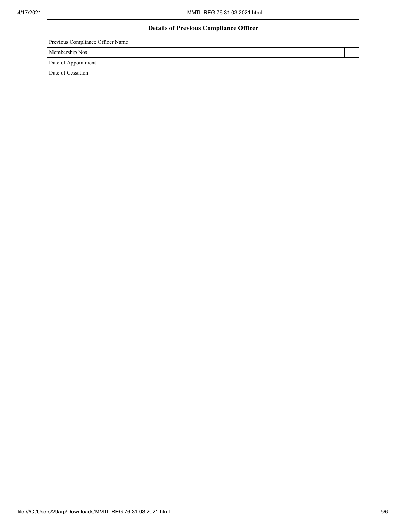| <b>Details of Previous Compliance Officer</b> |  |
|-----------------------------------------------|--|
| Previous Compliance Officer Name              |  |
| Membership Nos                                |  |
| Date of Appointment                           |  |
| Date of Cessation                             |  |